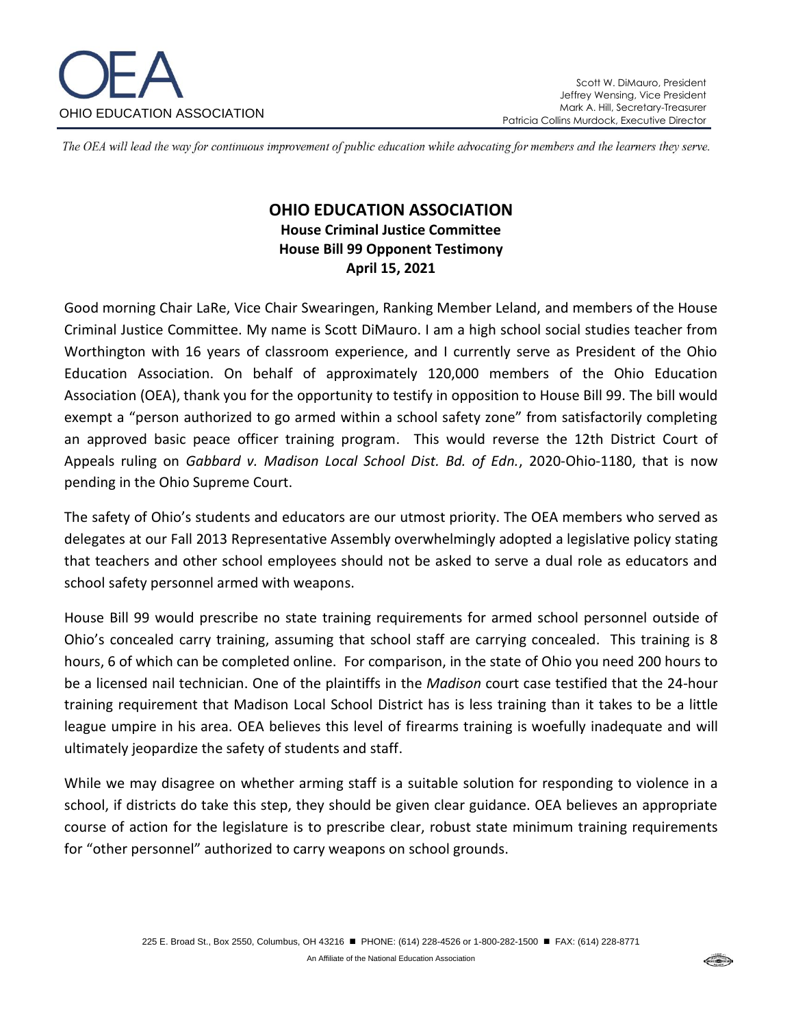

The OEA will lead the way for continuous improvement of public education while advocating for members and the learners they serve.

## **OHIO EDUCATION ASSOCIATION House Criminal Justice Committee House Bill 99 Opponent Testimony April 15, 2021**

Good morning Chair LaRe, Vice Chair Swearingen, Ranking Member Leland, and members of the House Criminal Justice Committee. My name is Scott DiMauro. I am a high school social studies teacher from Worthington with 16 years of classroom experience, and I currently serve as President of the Ohio Education Association. On behalf of approximately 120,000 members of the Ohio Education Association (OEA), thank you for the opportunity to testify in opposition to House Bill 99. The bill would exempt a "person authorized to go armed within a school safety zone" from satisfactorily completing an approved basic peace officer training program. This would reverse the 12th District Court of Appeals ruling on *Gabbard v. Madison Local School Dist. Bd. of Edn.*, 2020-Ohio-1180, that is now pending in the Ohio Supreme Court.

The safety of Ohio's students and educators are our utmost priority. The OEA members who served as delegates at our Fall 2013 Representative Assembly overwhelmingly adopted a legislative policy stating that teachers and other school employees should not be asked to serve a dual role as educators and school safety personnel armed with weapons.

House Bill 99 would prescribe no state training requirements for armed school personnel outside of Ohio's concealed carry training, assuming that school staff are carrying concealed. This training is 8 hours, 6 of which can be completed online. For comparison, in the state of Ohio you need 200 hours to be a licensed nail technician. One of the plaintiffs in the *Madison* court case testified that the 24-hour training requirement that Madison Local School District has is less training than it takes to be a little league umpire in his area. OEA believes this level of firearms training is woefully inadequate and will ultimately jeopardize the safety of students and staff.

While we may disagree on whether arming staff is a suitable solution for responding to violence in a school, if districts do take this step, they should be given clear guidance. OEA believes an appropriate course of action for the legislature is to prescribe clear, robust state minimum training requirements for "other personnel" authorized to carry weapons on school grounds.